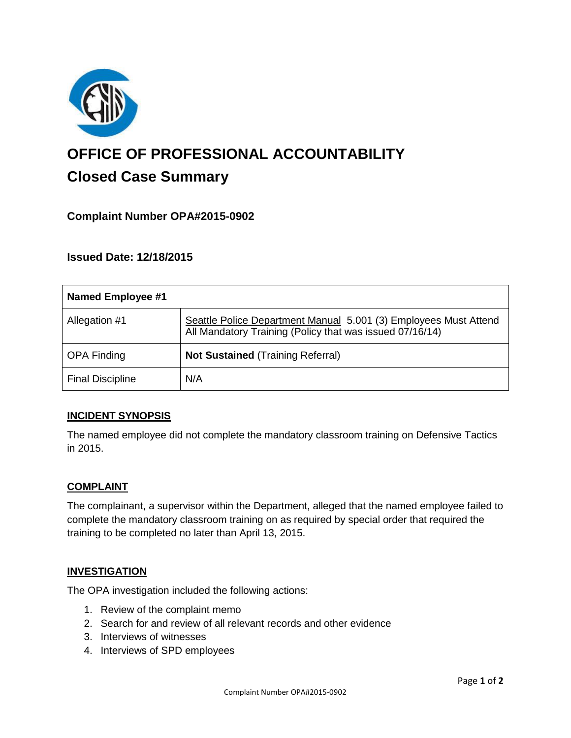

# **OFFICE OF PROFESSIONAL ACCOUNTABILITY Closed Case Summary**

# **Complaint Number OPA#2015-0902**

## **Issued Date: 12/18/2015**

| <b>Named Employee #1</b> |                                                                                                                              |
|--------------------------|------------------------------------------------------------------------------------------------------------------------------|
| Allegation #1            | Seattle Police Department Manual 5.001 (3) Employees Must Attend<br>All Mandatory Training (Policy that was issued 07/16/14) |
| <b>OPA Finding</b>       | <b>Not Sustained (Training Referral)</b>                                                                                     |
| <b>Final Discipline</b>  | N/A                                                                                                                          |

## **INCIDENT SYNOPSIS**

The named employee did not complete the mandatory classroom training on Defensive Tactics in 2015.

## **COMPLAINT**

The complainant, a supervisor within the Department, alleged that the named employee failed to complete the mandatory classroom training on as required by special order that required the training to be completed no later than April 13, 2015.

## **INVESTIGATION**

The OPA investigation included the following actions:

- 1. Review of the complaint memo
- 2. Search for and review of all relevant records and other evidence
- 3. Interviews of witnesses
- 4. Interviews of SPD employees